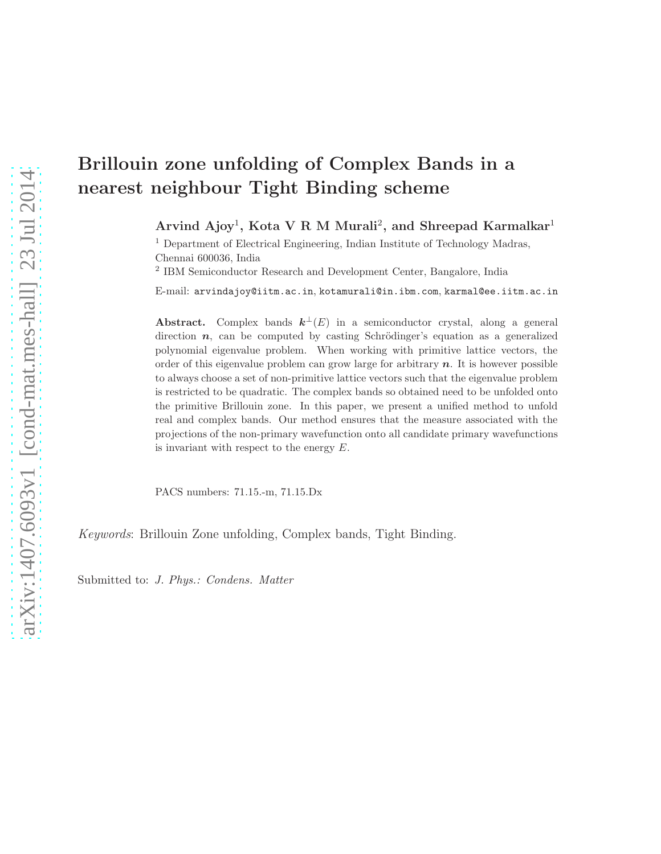# Brillouin zone unfolding of Complex Bands in a nearest neighbour Tight Binding scheme

Arvind Ajoy<sup>1</sup>, Kota V R M Murali<sup>2</sup>, and Shreepad Karmalkar<sup>1</sup>

<sup>1</sup> Department of Electrical Engineering, Indian Institute of Technology Madras, Chennai 600036, India

2 IBM Semiconductor Research and Development Center, Bangalore, India

E-mail: arvindajoy@iitm.ac.in, kotamurali@in.ibm.com, karmal@ee.iitm.ac.in

Abstract. Complex bands  $k^{\perp}(E)$  in a semiconductor crystal, along a general direction  $n$ , can be computed by casting Schrödinger's equation as a generalized polynomial eigenvalue problem. When working with primitive lattice vectors, the order of this eigenvalue problem can grow large for arbitrary  $n$ . It is however possible to always choose a set of non-primitive lattice vectors such that the eigenvalue problem is restricted to be quadratic. The complex bands so obtained need to be unfolded onto the primitive Brillouin zone. In this paper, we present a unified method to unfold real and complex bands. Our method ensures that the measure associated with the projections of the non-primary wavefunction onto all candidate primary wavefunctions is invariant with respect to the energy  $E$ .

PACS numbers: 71.15.-m, 71.15.Dx

Keywords: Brillouin Zone unfolding, Complex bands, Tight Binding.

Submitted to: *J. Phys.: Condens. Matter*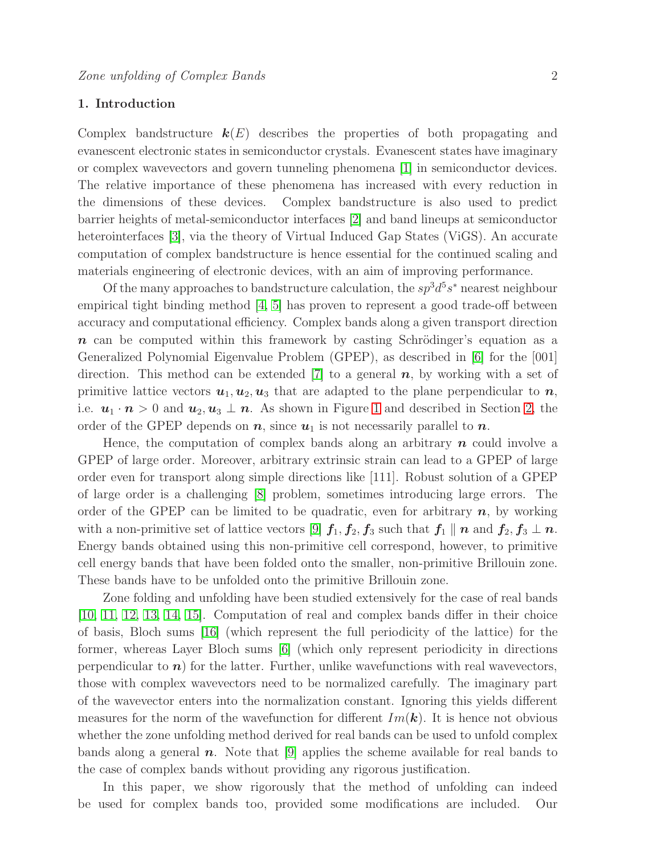# 1. Introduction

Complex bandstructure  $k(E)$  describes the properties of both propagating and evanescent electronic states in semiconductor crystals. Evanescent states have imaginary or complex wavevectors and govern tunneling phenomena [\[1\]](#page-13-0) in semiconductor devices. The relative importance of these phenomena has increased with every reduction in the dimensions of these devices. Complex bandstructure is also used to predict barrier heights of metal-semiconductor interfaces [\[2\]](#page-13-1) and band lineups at semiconductor heterointerfaces [\[3\]](#page-13-2), via the theory of Virtual Induced Gap States (ViGS). An accurate computation of complex bandstructure is hence essential for the continued scaling and materials engineering of electronic devices, with an aim of improving performance.

Of the many approaches to bandstructure calculation, the  $sp^3d^5s^*$  nearest neighbour empirical tight binding method [\[4,](#page-13-3) [5\]](#page-13-4) has proven to represent a good trade-off between accuracy and computational efficiency. Complex bands along a given transport direction  $n$  can be computed within this framework by casting Schrödinger's equation as a Generalized Polynomial Eigenvalue Problem (GPEP), as described in [\[6\]](#page-13-5) for the [001] direction. This method can be extended [\[7\]](#page-13-6) to a general  $n$ , by working with a set of primitive lattice vectors  $u_1, u_2, u_3$  that are adapted to the plane perpendicular to  $n$ , i.e.  $u_1 \cdot n > 0$  and  $u_2, u_3 \perp n$ . As shown in Figure [1](#page-2-0) and described in Section [2,](#page-2-1) the order of the GPEP depends on  $n$ , since  $u_1$  is not necessarily parallel to  $n$ .

Hence, the computation of complex bands along an arbitrary  $n$  could involve a GPEP of large order. Moreover, arbitrary extrinsic strain can lead to a GPEP of large order even for transport along simple directions like [111]. Robust solution of a GPEP of large order is a challenging [\[8\]](#page-13-7) problem, sometimes introducing large errors. The order of the GPEP can be limited to be quadratic, even for arbitrary  $n$ , by working with a non-primitive set of lattice vectors [\[9\]](#page-13-8)  $f_1, f_2, f_3$  such that  $f_1 \parallel n$  and  $f_2, f_3 \perp n$ . Energy bands obtained using this non-primitive cell correspond, however, to primitive cell energy bands that have been folded onto the smaller, non-primitive Brillouin zone. These bands have to be unfolded onto the primitive Brillouin zone.

Zone folding and unfolding have been studied extensively for the case of real bands [\[10,](#page-13-9) [11,](#page-13-10) [12,](#page-13-11) [13,](#page-13-12) [14,](#page-13-13) [15\]](#page-13-14). Computation of real and complex bands differ in their choice of basis, Bloch sums [\[16\]](#page-13-15) (which represent the full periodicity of the lattice) for the former, whereas Layer Bloch sums [\[6\]](#page-13-5) (which only represent periodicity in directions perpendicular to  $n$ ) for the latter. Further, unlike wavefunctions with real wavevectors, those with complex wavevectors need to be normalized carefully. The imaginary part of the wavevector enters into the normalization constant. Ignoring this yields different measures for the norm of the wavefunction for different  $Im(\mathbf{k})$ . It is hence not obvious whether the zone unfolding method derived for real bands can be used to unfold complex bands along a general  $\boldsymbol{n}$ . Note that [\[9\]](#page-13-8) applies the scheme available for real bands to the case of complex bands without providing any rigorous justification.

In this paper, we show rigorously that the method of unfolding can indeed be used for complex bands too, provided some modifications are included. Our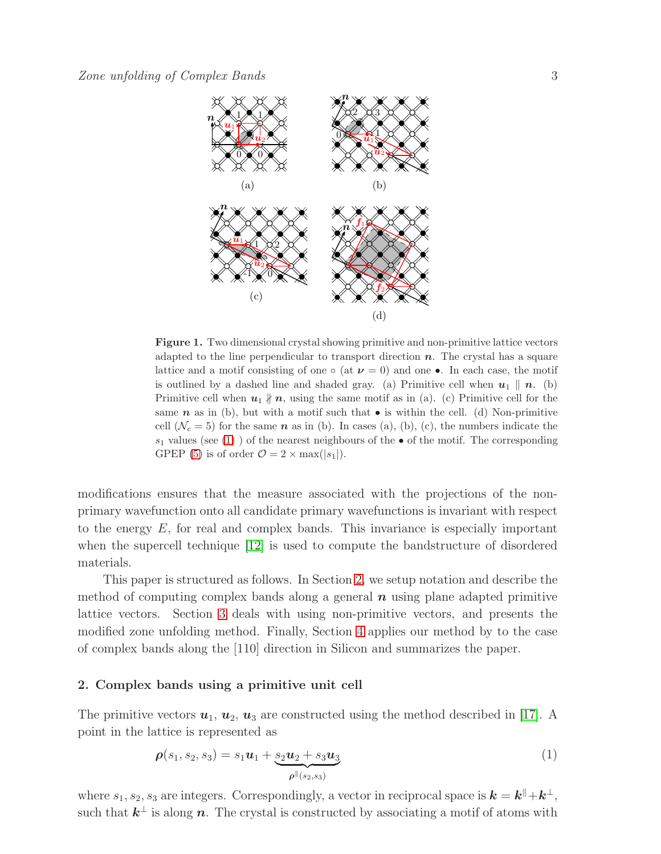

<span id="page-2-0"></span>Figure 1. Two dimensional crystal showing primitive and non-primitive lattice vectors adapted to the line perpendicular to transport direction  $n$ . The crystal has a square lattice and a motif consisting of one  $\circ$  (at  $\nu = 0$ ) and one •. In each case, the motif is outlined by a dashed line and shaded gray. (a) Primitive cell when  $u_1 \parallel n$ . (b) Primitive cell when  $u_1 \nparallel n$ , using the same motif as in (a). (c) Primitive cell for the same **n** as in (b), but with a motif such that  $\bullet$  is within the cell. (d) Non-primitive cell  $(\mathcal{N}_c = 5)$  for the same n as in (b). In cases (a), (b), (c), the numbers indicate the  $s_1$  values (see [\(1\)](#page-2-2)) of the nearest neighbours of the • of the motif. The corresponding GPEP [\(5\)](#page-3-0) is of order  $\mathcal{O} = 2 \times \max(|s_1|)$ .

modifications ensures that the measure associated with the projections of the nonprimary wavefunction onto all candidate primary wavefunctions is invariant with respect to the energy  $E$ , for real and complex bands. This invariance is especially important when the supercell technique [\[12\]](#page-13-11) is used to compute the bandstructure of disordered materials.

This paper is structured as follows. In Section [2,](#page-2-1) we setup notation and describe the method of computing complex bands along a general  $\boldsymbol{n}$  using plane adapted primitive lattice vectors. Section [3](#page-4-0) deals with using non-primitive vectors, and presents the modified zone unfolding method. Finally, Section [4](#page-11-0) applies our method by to the case of complex bands along the [110] direction in Silicon and summarizes the paper.

#### <span id="page-2-1"></span>2. Complex bands using a primitive unit cell

The primitive vectors  $u_1, u_2, u_3$  are constructed using the method described in [\[17\]](#page-13-16). A point in the lattice is represented as

<span id="page-2-2"></span>
$$
\rho(s_1, s_2, s_3) = s_1 \mathbf{u}_1 + \underbrace{s_2 \mathbf{u}_2 + s_3 \mathbf{u}_3}_{\rho^{\parallel}(s_2, s_3)} \tag{1}
$$

where  $s_1, s_2, s_3$  are integers. Correspondingly, a vector in reciprocal space is  $\mathbf{k} = \mathbf{k}^{\parallel} + \mathbf{k}^{\perp}$ , such that  $k^{\perp}$  is along n. The crystal is constructed by associating a motif of atoms with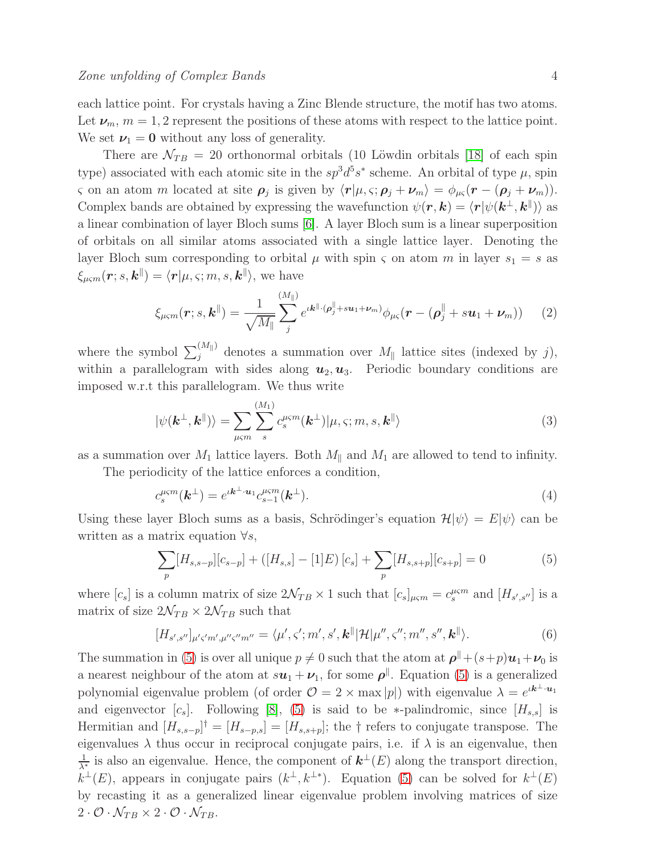each lattice point. For crystals having a Zinc Blende structure, the motif has two atoms. Let  $\nu_m$ ,  $m = 1, 2$  represent the positions of these atoms with respect to the lattice point. We set  $\nu_1 = 0$  without any loss of generality.

There are  $\mathcal{N}_{TB} = 20$  orthonormal orbitals (10 Löwdin orbitals [\[18\]](#page-13-17) of each spin type) associated with each atomic site in the  $sp^3d^5s^*$  scheme. An orbital of type  $\mu$ , spin ς on an atom *m* located at site  $\rho_j$  is given by  $\langle r|\mu, \varsigma; \rho_j + \nu_m \rangle = \phi_{\mu\varsigma}(r - (\rho_j + \nu_m)).$ Complex bands are obtained by expressing the wavefunction  $\psi(\mathbf{r}, \mathbf{k}) = \langle \mathbf{r} | \psi(\mathbf{k}^{\perp}, \mathbf{k}^{\parallel}) \rangle$  as a linear combination of layer Bloch sums [\[6\]](#page-13-5). A layer Bloch sum is a linear superposition of orbitals on all similar atoms associated with a single lattice layer. Denoting the layer Bloch sum corresponding to orbital  $\mu$  with spin  $\varsigma$  on atom m in layer  $s_1 = s$  as  $\xi_{\mu\varsigma m}(\boldsymbol{r};s,\boldsymbol{k}^{\parallel}) = \langle \boldsymbol{r}|\mu,\varsigma;m,s,\boldsymbol{k}^{\parallel} \rangle,$  we have

<span id="page-3-1"></span>
$$
\xi_{\mu\varsigma m}(\boldsymbol{r};s,\boldsymbol{k}^{\parallel})=\frac{1}{\sqrt{M_{\parallel}}}\sum_{j}^{(M_{\parallel})}e^{\iota \boldsymbol{k}^{\parallel}\cdot(\boldsymbol{\rho}_{j}^{\parallel}+s\boldsymbol{u}_{1}+\boldsymbol{\nu}_{m})}\phi_{\mu\varsigma}(\boldsymbol{r}-(\boldsymbol{\rho}_{j}^{\parallel}+s\boldsymbol{u}_{1}+\boldsymbol{\nu}_{m}))
$$
(2)

where the symbol  $\sum_j^{(M_{\parallel})}$  denotes a summation over  $M_{\parallel}$  lattice sites (indexed by j), within a parallelogram with sides along  $u_2, u_3$ . Periodic boundary conditions are imposed w.r.t this parallelogram. We thus write

$$
|\psi(\mathbf{k}^{\perp}, \mathbf{k}^{\parallel})\rangle = \sum_{\mu \leq m} \sum_{s}^{(M_1)} c_s^{\mu \leq m}(\mathbf{k}^{\perp}) |\mu, \varsigma; m, s, \mathbf{k}^{\parallel}\rangle
$$
 (3)

as a summation over  $M_1$  lattice layers. Both  $M_{\parallel}$  and  $M_1$  are allowed to tend to infinity.

The periodicity of the lattice enforces a condition,

<span id="page-3-2"></span>
$$
c_s^{\mu\varsigma m}(\mathbf{k}^\perp) = e^{i\mathbf{k}^\perp \cdot \mathbf{u}_1} c_{s-1}^{\mu\varsigma m}(\mathbf{k}^\perp). \tag{4}
$$

Using these layer Bloch sums as a basis, Schrödinger's equation  $\mathcal{H}|\psi\rangle = E|\psi\rangle$  can be written as a matrix equation  $\forall s$ ,

<span id="page-3-0"></span>
$$
\sum_{p} [H_{s,s-p}][c_{s-p}] + ([H_{s,s}] - [1]E)[c_{s}] + \sum_{p} [H_{s,s+p}][c_{s+p}] = 0 \tag{5}
$$

where  $[c_s]$  is a column matrix of size  $2\mathcal{N}_{TB} \times 1$  such that  $[c_s]_{\mu\varsigma m} = c_s^{\mu\varsigma m}$  and  $[H_{s',s''}]$  is a matrix of size  $2\mathcal{N}_{TB} \times 2\mathcal{N}_{TB}$  such that

$$
[H_{s',s''}]_{\mu's'm',\mu''s''m''} = \langle \mu',\varsigma';m',s',\mathbf{k}^{\parallel}|\mathcal{H}|\mu'',\varsigma'';m'',s'',\mathbf{k}^{\parallel}\rangle. \tag{6}
$$

The summation in [\(5\)](#page-3-0) is over all unique  $p \neq 0$  such that the atom at  $\rho^{\parallel} + (s+p)u_1 + v_0$  is a nearest neighbour of the atom at  $s\mathbf{u}_1 + \mathbf{\nu}_1$ , for some  $\rho^{\parallel}$ . Equation [\(5\)](#page-3-0) is a generalized polynomial eigenvalue problem (of order  $\mathcal{O} = 2 \times \max |p|$ ) with eigenvalue  $\lambda = e^{i \mathbf{k}^{\perp} \cdot \mathbf{u}_1}$ and eigenvector  $[c_s]$ . Following [\[8\]](#page-13-7), [\(5\)](#page-3-0) is said to be \*-palindromic, since  $[H_{s,s}]$  is Hermitian and  $[H_{s,s-p}]^{\dagger} = [H_{s-p,s}] = [H_{s,s+p}]$ ; the † refers to conjugate transpose. The eigenvalues  $\lambda$  thus occur in reciprocal conjugate pairs, i.e. if  $\lambda$  is an eigenvalue, then 1  $\frac{1}{\lambda^*}$  is also an eigenvalue. Hence, the component of  $\mathbf{k}^{\perp}(E)$  along the transport direction,  $k^{\perp}(E)$ , appears in conjugate pairs  $(k^{\perp}, k^{\perp *})$ . Equation [\(5\)](#page-3-0) can be solved for  $k^{\perp}(E)$ by recasting it as a generalized linear eigenvalue problem involving matrices of size  $2 \cdot \mathcal{O} \cdot \mathcal{N}_{TB} \times 2 \cdot \mathcal{O} \cdot \mathcal{N}_{TB}.$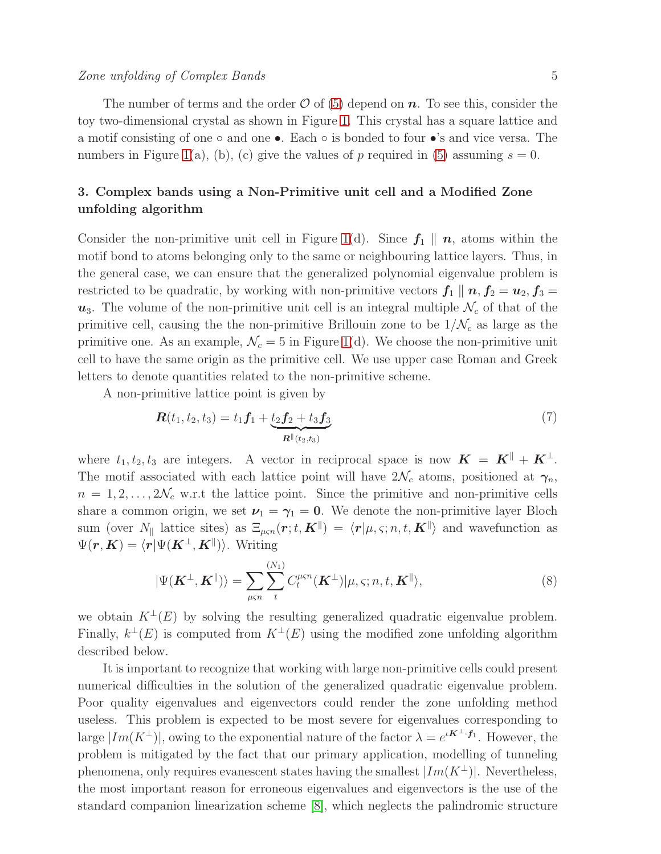The number of terms and the order  $\mathcal O$  of [\(5\)](#page-3-0) depend on  $\mathbf n$ . To see this, consider the toy two-dimensional crystal as shown in Figure [1.](#page-2-0) This crystal has a square lattice and a motif consisting of one  $\circ$  and one  $\bullet$ . Each  $\circ$  is bonded to four  $\bullet$ 's and vice versa. The numbers in Figure [1\(](#page-2-0)a), (b), (c) give the values of p required in [\(5\)](#page-3-0) assuming  $s = 0$ .

# <span id="page-4-0"></span>3. Complex bands using a Non-Primitive unit cell and a Modified Zone unfolding algorithm

Consider the non-primitive unit cell in Figure [1\(](#page-2-0)d). Since  $f_1 \parallel n$ , atoms within the motif bond to atoms belonging only to the same or neighbouring lattice layers. Thus, in the general case, we can ensure that the generalized polynomial eigenvalue problem is restricted to be quadratic, by working with non-primitive vectors  $f_1 \parallel n$ ,  $f_2 = u_2$ ,  $f_3 =$  $u_3$ . The volume of the non-primitive unit cell is an integral multiple  $\mathcal{N}_c$  of that of the primitive cell, causing the the non-primitive Brillouin zone to be  $1/\mathcal{N}_c$  as large as the primitive one. As an example,  $\mathcal{N}_c = 5$  in Figure [1\(](#page-2-0)d). We choose the non-primitive unit cell to have the same origin as the primitive cell. We use upper case Roman and Greek letters to denote quantities related to the non-primitive scheme.

A non-primitive lattice point is given by

<span id="page-4-2"></span>
$$
\boldsymbol{R}(t_1, t_2, t_3) = t_1 \boldsymbol{f}_1 + \underbrace{t_2 \boldsymbol{f}_2 + t_3 \boldsymbol{f}_3}_{\boldsymbol{R}^{\parallel}(t_2, t_3)} \tag{7}
$$

where  $t_1, t_2, t_3$  are integers. A vector in reciprocal space is now  $\mathbf{K} = \mathbf{K}^{\parallel} + \mathbf{K}^{\perp}$ . The motif associated with each lattice point will have  $2\mathcal{N}_c$  atoms, positioned at  $\gamma_n$ ,  $n = 1, 2, \ldots, 2\mathcal{N}_c$  w.r.t the lattice point. Since the primitive and non-primitive cells share a common origin, we set  $\nu_1 = \gamma_1 = 0$ . We denote the non-primitive layer Bloch sum (over  $N_{\parallel}$  lattice sites) as  $\Xi_{\mu\varsigma n}(\bm{r};t,\bm{K}^{\parallel}) = \langle \bm{r} | \mu,\varsigma; n,t,\bm{K}^{\parallel} \rangle$  and wavefunction as  $\Psi(\bm{r},\bm{K}) = \langle \bm{r} | \Psi(\bm{K}^{\perp},\bm{K}^{\parallel}) \rangle$ . Writing

<span id="page-4-1"></span>
$$
|\Psi(\boldsymbol{K}^{\perp},\boldsymbol{K}^{\parallel})\rangle = \sum_{\mu\varsigma n} \sum_{t}^{(N_1)} C_t^{\mu\varsigma n}(\boldsymbol{K}^{\perp})|\mu,\varsigma;n,t,\boldsymbol{K}^{\parallel}\rangle,
$$
\n(8)

we obtain  $K^{\perp}(E)$  by solving the resulting generalized quadratic eigenvalue problem. Finally,  $k^{\perp}(E)$  is computed from  $K^{\perp}(E)$  using the modified zone unfolding algorithm described below.

It is important to recognize that working with large non-primitive cells could present numerical difficulties in the solution of the generalized quadratic eigenvalue problem. Poor quality eigenvalues and eigenvectors could render the zone unfolding method useless. This problem is expected to be most severe for eigenvalues corresponding to large  $|Im(K^{\perp})|$ , owing to the exponential nature of the factor  $\lambda = e^{iK^{\perp}\cdot f_1}$ . However, the problem is mitigated by the fact that our primary application, modelling of tunneling phenomena, only requires evanescent states having the smallest  $|Im(K^{\perp})|$ . Nevertheless, the most important reason for erroneous eigenvalues and eigenvectors is the use of the standard companion linearization scheme [\[8\]](#page-13-7), which neglects the palindromic structure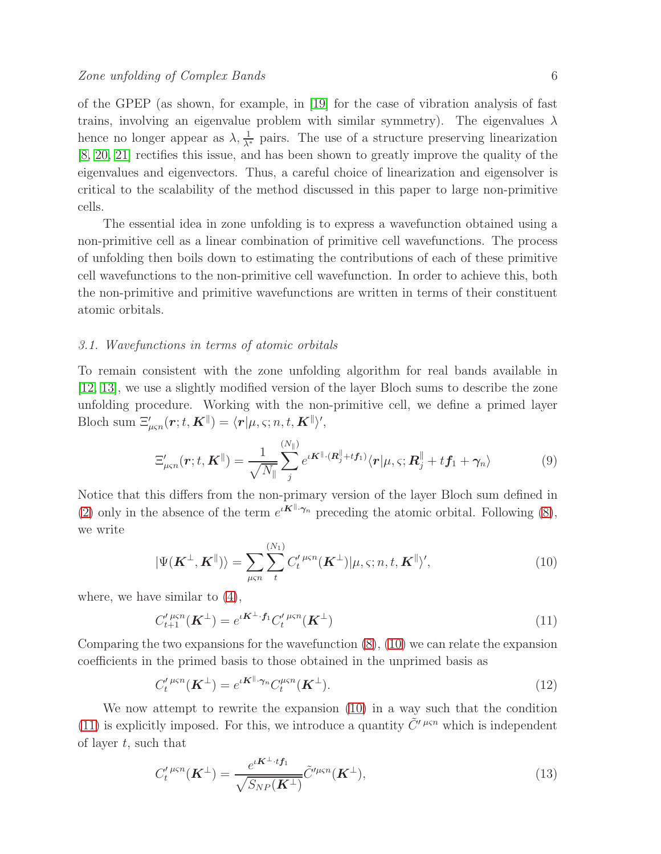of the GPEP (as shown, for example, in [\[19\]](#page-13-18) for the case of vibration analysis of fast trains, involving an eigenvalue problem with similar symmetry). The eigenvalues  $\lambda$ hence no longer appear as  $\lambda$ ,  $\frac{1}{\lambda^*}$  pairs. The use of a structure preserving linearization [\[8,](#page-13-7) [20,](#page-13-19) [21\]](#page-13-20) rectifies this issue, and has been shown to greatly improve the quality of the eigenvalues and eigenvectors. Thus, a careful choice of linearization and eigensolver is critical to the scalability of the method discussed in this paper to large non-primitive cells.

The essential idea in zone unfolding is to express a wavefunction obtained using a non-primitive cell as a linear combination of primitive cell wavefunctions. The process of unfolding then boils down to estimating the contributions of each of these primitive cell wavefunctions to the non-primitive cell wavefunction. In order to achieve this, both the non-primitive and primitive wavefunctions are written in terms of their constituent atomic orbitals.

#### <span id="page-5-5"></span>3.1. Wavefunctions in terms of atomic orbitals

To remain consistent with the zone unfolding algorithm for real bands available in [\[12,](#page-13-11) [13\]](#page-13-12), we use a slightly modified version of the layer Bloch sums to describe the zone unfolding procedure. Working with the non-primitive cell, we define a primed layer Bloch sum  $\Xi'_{\mu\varsigma n}(\boldsymbol{r};t,\boldsymbol{K}^{\parallel}) = \langle \boldsymbol{r}|\mu,\varsigma; n,t,\boldsymbol{K}^{\parallel} \rangle',$ 

<span id="page-5-2"></span>
$$
\Xi'_{\mu\varsigma n}(\boldsymbol{r};t,\boldsymbol{K}^{\parallel})=\frac{1}{\sqrt{N_{\parallel}}}\sum_{j}^{(N_{\parallel})}e^{i\boldsymbol{K}^{\parallel}\cdot(\boldsymbol{R}_{j}^{\parallel}+t\boldsymbol{f}_{1})}\langle\boldsymbol{r}|\mu,\varsigma;\boldsymbol{R}_{j}^{\parallel}+t\boldsymbol{f}_{1}+\gamma_{n}\rangle
$$
(9)

Notice that this differs from the non-primary version of the layer Bloch sum defined in [\(2\)](#page-3-1) only in the absence of the term  $e^{i\mathbf{K}^{\parallel} \cdot \gamma_n}$  preceding the atomic orbital. Following [\(8\)](#page-4-1), we write

<span id="page-5-0"></span>
$$
|\Psi(\boldsymbol{K}^{\perp},\boldsymbol{K}^{\parallel})\rangle = \sum_{\mu\varsigma n} \sum_{t}^{(N_1)} C_t^{\prime \ \mu\varsigma n}(\boldsymbol{K}^{\perp}) |\mu,\varsigma;n,t,\boldsymbol{K}^{\parallel}\rangle^{\prime},
$$
(10)

where, we have similar to [\(4\)](#page-3-2),

<span id="page-5-1"></span>
$$
C_{t+1}^{\prime \ \mu \varsigma n}(\mathbf{K}^{\perp}) = e^{\iota \mathbf{K}^{\perp} \cdot \mathbf{f}_1} C_t^{\prime \ \mu \varsigma n}(\mathbf{K}^{\perp}) \tag{11}
$$

Comparing the two expansions for the wavefunction  $(8)$ ,  $(10)$  we can relate the expansion coefficients in the primed basis to those obtained in the unprimed basis as

<span id="page-5-4"></span>
$$
C_t^{\prime \ \mu s n}(\mathbf{K}^{\perp}) = e^{\iota \mathbf{K}^{\parallel} \cdot \gamma_n} C_t^{\mu s n}(\mathbf{K}^{\perp}).
$$
\n(12)

We now attempt to rewrite the expansion [\(10\)](#page-5-0) in a way such that the condition [\(11\)](#page-5-1) is explicitly imposed. For this, we introduce a quantity  $\tilde{C}'^{\mu\varsigma n}$  which is independent of layer  $t$ , such that

<span id="page-5-3"></span>
$$
C'_{t}^{\mu\varsigma n}(\boldsymbol{K}^{\perp}) = \frac{e^{i\boldsymbol{K}^{\perp}\cdot t\boldsymbol{f}_{1}}}{\sqrt{S_{NP}(\boldsymbol{K}^{\perp})}}\tilde{C}^{\prime\mu\varsigma n}(\boldsymbol{K}^{\perp}),
$$
\n(13)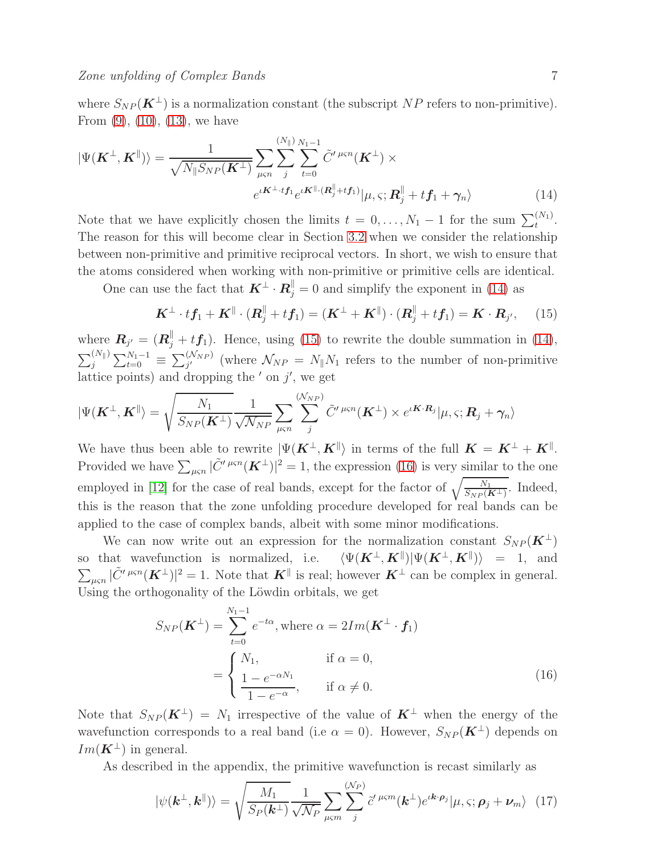<span id="page-6-0"></span>
$$
|\Psi(\mathbf{K}^{\perp}, \mathbf{K}^{\parallel})\rangle = \frac{1}{\sqrt{N_{\parallel}S_{NP}(\mathbf{K}^{\perp})}} \sum_{\mu \leq n} \sum_{j}^{(N_{\parallel})} \sum_{t=0}^{N_{1}-1} \tilde{C}'^{\mu \leq n}(\mathbf{K}^{\perp}) \times
$$

$$
e^{\iota \mathbf{K}^{\perp} \cdot t \mathbf{f}_{1}} e^{\iota \mathbf{K}^{\parallel} \cdot (\mathbf{R}_{j}^{\parallel} + t \mathbf{f}_{1})} |\mu, \varsigma; \mathbf{R}_{j}^{\parallel} + t \mathbf{f}_{1} + \gamma_{n} \rangle
$$
(14)

Note that we have explicitly chosen the limits  $t = 0, ..., N_1 - 1$  for the sum  $\sum_{t}^{(N_1)}$ . The reason for this will become clear in Section [3.2](#page-7-0) when we consider the relationship between non-primitive and primitive reciprocal vectors. In short, we wish to ensure that the atoms considered when working with non-primitive or primitive cells are identical.

One can use the fact that  $\mathbf{K}^{\perp} \cdot \mathbf{R}_{j}^{\parallel} = 0$  and simplify the exponent in [\(14\)](#page-6-0) as

<span id="page-6-1"></span>
$$
\boldsymbol{K}^{\perp} \cdot t\boldsymbol{f}_1 + \boldsymbol{K}^{\parallel} \cdot (\boldsymbol{R}_j^{\parallel} + t\boldsymbol{f}_1) = (\boldsymbol{K}^{\perp} + \boldsymbol{K}^{\parallel}) \cdot (\boldsymbol{R}_j^{\parallel} + t\boldsymbol{f}_1) = \boldsymbol{K} \cdot \boldsymbol{R}_{j'}, \quad (15)
$$

where  $\boldsymbol{R}_{j'} = (\boldsymbol{R}_{j}^{\parallel} + t\boldsymbol{f}_{1})$ . Hence, using [\(15\)](#page-6-1) to rewrite the double summation in [\(14\)](#page-6-0),  $\sum_{j}^{(N_{\parallel})}\sum_{t=0}^{N_{1}-1} \equiv \sum_{j'}^{(N_{NP})}$  (where  $\mathcal{N}_{NP} = N_{\parallel}N_{1}$  refers to the number of non-primitive lattice points) and dropping the  $'$  on  $j'$ , we get

$$
|\Psi(\mathbf{K}^{\perp},\mathbf{K}^{\parallel}\rangle=\sqrt{\frac{N_1}{S_{NP}(\mathbf{K}^{\perp})}}\frac{1}{\sqrt{\mathcal{N}_{NP}}}\sum_{\mu\varsigma n}\sum_{j}^{(\mathcal{N}_{NP})}\tilde{C}^{\prime\,\mu\varsigma n}(\mathbf{K}^{\perp})\times e^{\iota\mathbf{K}\cdot\mathbf{R}_{j}}|\mu,\varsigma;\mathbf{R}_{j}+\gamma_{n}\rangle
$$

We have thus been able to rewrite  $|\Psi(\boldsymbol{K}^{\perp},\boldsymbol{K}^{\parallel}\rangle$  in terms of the full  $\boldsymbol{K}=\boldsymbol{K}^{\perp}+\boldsymbol{K}^{\parallel}$ . Provided we have  $\sum_{\mu \in n} |\tilde{C}'^{\mu \in n}(\boldsymbol{K}^{\perp})|^2 = 1$ , the expression [\(16\)](#page-6-2) is very similar to the one employed in [\[12\]](#page-13-11) for the case of real bands, except for the factor of  $\sqrt{\frac{N_1}{S_{NP}(K^{\perp})}}$ . Indeed, this is the reason that the zone unfolding procedure developed for real bands can be applied to the case of complex bands, albeit with some minor modifications.

We can now write out an expression for the normalization constant  $S_{NP} (K^{\perp})$ so that wavefunction is normalized, i.e.  $\langle \Psi(\mathbf{K}^{\perp}, \mathbf{K}^{\parallel}) | \Psi(\mathbf{K}^{\perp}, \mathbf{K}^{\parallel}) \rangle = 1$ , and  $\sum_{\mu \in \mathbb{N}} |\tilde{C}'^{\mu \in \mathbb{N}}(\boldsymbol{K}^{\perp})|^2 = 1$ . Note that  $\boldsymbol{K}^{\parallel}$  is real; however  $\boldsymbol{K}^{\perp}$  can be complex in general. Using the orthogonality of the Löwdin orbitals, we get

<span id="page-6-2"></span>
$$
S_{NP}(\mathbf{K}^{\perp}) = \sum_{t=0}^{N_1 - 1} e^{-t\alpha}, \text{ where } \alpha = 2Im(\mathbf{K}^{\perp} \cdot \mathbf{f}_1)
$$

$$
= \begin{cases} N_1, & \text{if } \alpha = 0, \\ \frac{1 - e^{-\alpha N_1}}{1 - e^{-\alpha}}, & \text{if } \alpha \neq 0. \end{cases}
$$
(16)

Note that  $S_{NP}(\mathbf{K}^{\perp}) = N_1$  irrespective of the value of  $\mathbf{K}^{\perp}$  when the energy of the wavefunction corresponds to a real band (i.e  $\alpha = 0$ ). However,  $S_{NP}(\mathbf{K}^{\perp})$  depends on  $Im(\mathbf{K}^{\perp})$  in general.

As described in the appendix, the primitive wavefunction is recast similarly as

<span id="page-6-3"></span>
$$
|\psi(\mathbf{k}^{\perp},\mathbf{k}^{\parallel})\rangle = \sqrt{\frac{M_1}{S_P(\mathbf{k}^{\perp})}\frac{1}{\sqrt{\mathcal{N}_P}}\sum_{\mu\varsigma m}\sum_{j}^{(\mathcal{N}_P)}\tilde{c}'^{\mu\varsigma m}(\mathbf{k}^{\perp})e^{\iota \mathbf{k} \cdot \boldsymbol{\rho}_j}|\mu,\varsigma;\boldsymbol{\rho}_j + \boldsymbol{\nu}_m\rangle} (17)
$$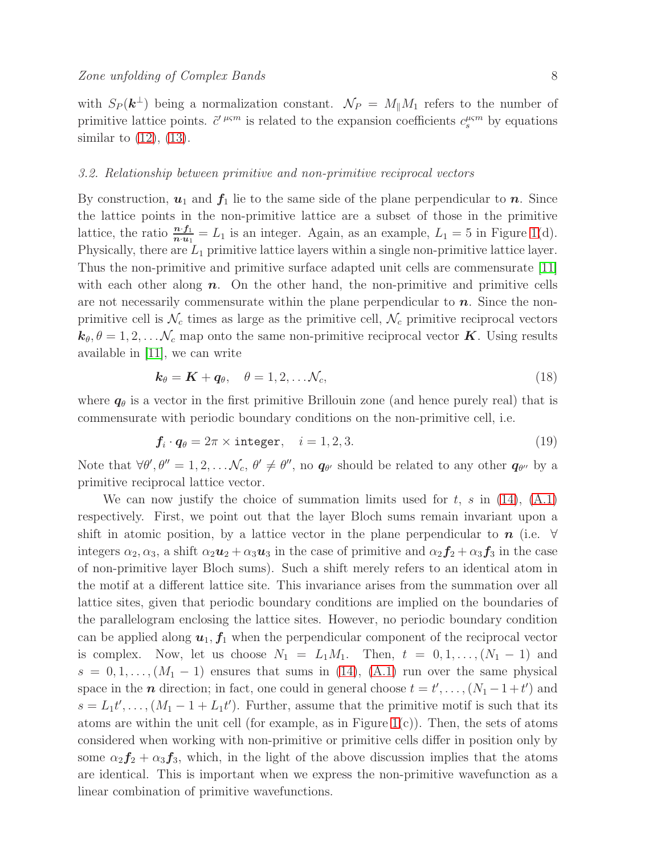with  $S_P(\mathbf{k}^{\perp})$  being a normalization constant.  $\mathcal{N}_P = M_{\parallel} M_1$  refers to the number of primitive lattice points.  $\tilde{c}'^{ \mu \varsigma m}$  is related to the expansion coefficients  $c_s^{\mu \varsigma m}$  by equations similar to  $(12)$ ,  $(13)$ .

#### <span id="page-7-0"></span>3.2. Relationship between primitive and non-primitive reciprocal vectors

By construction,  $u_1$  and  $f_1$  lie to the same side of the plane perpendicular to n. Since the lattice points in the non-primitive lattice are a subset of those in the primitive lattice, the ratio  $\frac{n \cdot f_1}{n \cdot u_1} = L_1$  is an integer. Again, as an example,  $L_1 = 5$  in Figure [1\(](#page-2-0)d). Physically, there are  $L_1$  primitive lattice layers within a single non-primitive lattice layer. Thus the non-primitive and primitive surface adapted unit cells are commensurate [\[11\]](#page-13-10) with each other along  $n$ . On the other hand, the non-primitive and primitive cells are not necessarily commensurate within the plane perpendicular to  $n$ . Since the nonprimitive cell is  $\mathcal{N}_c$  times as large as the primitive cell,  $\mathcal{N}_c$  primitive reciprocal vectors  $k_{\theta}, \theta = 1, 2, \ldots, \mathcal{N}_c$  map onto the same non-primitive reciprocal vector **K**. Using results available in [\[11\]](#page-13-10), we can write

<span id="page-7-1"></span>
$$
\mathbf{k}_{\theta} = \mathbf{K} + \mathbf{q}_{\theta}, \quad \theta = 1, 2, \dots \mathcal{N}_{c}, \tag{18}
$$

where  $q_{\theta}$  is a vector in the first primitive Brillouin zone (and hence purely real) that is commensurate with periodic boundary conditions on the non-primitive cell, i.e.

<span id="page-7-2"></span>
$$
\mathbf{f}_i \cdot \mathbf{q}_\theta = 2\pi \times \text{integer}, \quad i = 1, 2, 3. \tag{19}
$$

Note that  $\forall \theta', \theta'' = 1, 2, \dots N_c, \theta' \neq \theta'',$  no  $q_{\theta'}$  should be related to any other  $q_{\theta''}$  by a primitive reciprocal lattice vector.

We can now justify the choice of summation limits used for  $t$ ,  $s$  in [\(14\)](#page-6-0), [\(A.1\)](#page-12-0) respectively. First, we point out that the layer Bloch sums remain invariant upon a shift in atomic position, by a lattice vector in the plane perpendicular to  $n$  (i.e.  $\forall$ integers  $\alpha_2, \alpha_3$ , a shift  $\alpha_2 \mathbf{u}_2 + \alpha_3 \mathbf{u}_3$  in the case of primitive and  $\alpha_2 \mathbf{f}_2 + \alpha_3 \mathbf{f}_3$  in the case of non-primitive layer Bloch sums). Such a shift merely refers to an identical atom in the motif at a different lattice site. This invariance arises from the summation over all lattice sites, given that periodic boundary conditions are implied on the boundaries of the parallelogram enclosing the lattice sites. However, no periodic boundary condition can be applied along  $u_1, f_1$  when the perpendicular component of the reciprocal vector is complex. Now, let us choose  $N_1 = L_1M_1$ . Then,  $t = 0, 1, \ldots, (N_1 - 1)$  and  $s = 0, 1, \ldots, (M_1 - 1)$  ensures that sums in [\(14\)](#page-6-0), [\(A.1\)](#page-12-0) run over the same physical space in the  $n$  direction; in fact, one could in general choose  $t = t', \ldots, (N_1 - 1 + t')$  and  $s = L_1 t', \ldots, (M_1 - 1 + L_1 t')$ . Further, assume that the primitive motif is such that its atoms are within the unit cell (for example, as in Figure [1\(](#page-2-0)c)). Then, the sets of atoms considered when working with non-primitive or primitive cells differ in position only by some  $\alpha_2 f_2 + \alpha_3 f_3$ , which, in the light of the above discussion implies that the atoms are identical. This is important when we express the non-primitive wavefunction as a linear combination of primitive wavefunctions.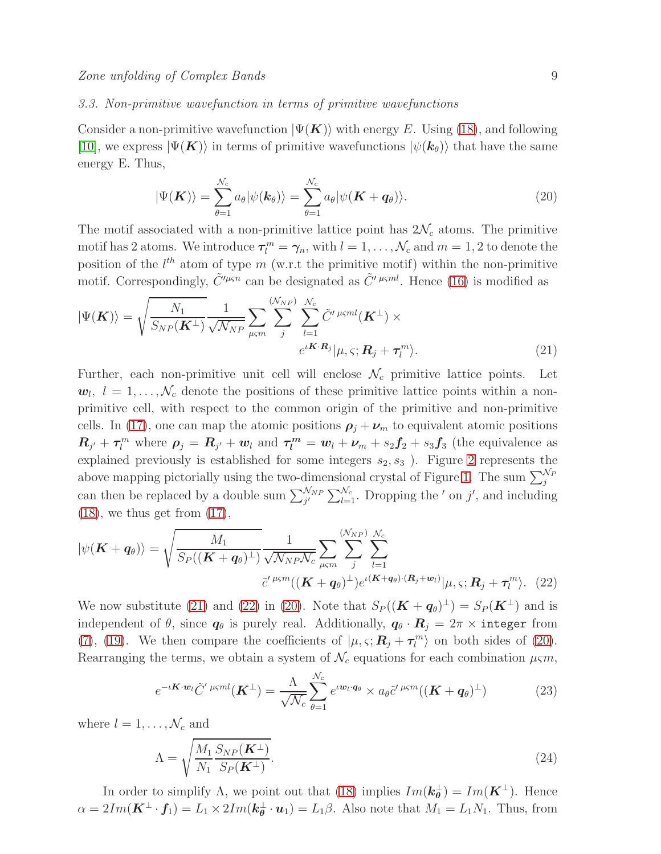#### 3.3. Non-primitive wavefunction in terms of primitive wavefunctions

Consider a non-primitive wavefunction  $|\Psi(\mathbf{K})\rangle$  with energy E. Using [\(18\)](#page-7-1), and following [\[10\]](#page-13-9), we express  $|\Psi(\mathbf{K})\rangle$  in terms of primitive wavefunctions  $|\psi(\mathbf{k}_{\theta})\rangle$  that have the same energy E. Thus,

<span id="page-8-2"></span>
$$
|\Psi(\boldsymbol{K})\rangle = \sum_{\theta=1}^{\mathcal{N}_c} a_{\theta} |\psi(\boldsymbol{k}_{\theta})\rangle = \sum_{\theta=1}^{\mathcal{N}_c} a_{\theta} |\psi(\boldsymbol{K} + \boldsymbol{q}_{\theta})\rangle.
$$
 (20)

The motif associated with a non-primitive lattice point has  $2\mathcal{N}_c$  atoms. The primitive motif has 2 atoms. We introduce  $\tau_l^m = \gamma_n$ , with  $l = 1, ..., \mathcal{N}_c$  and  $m = 1, 2$  to denote the position of the  $l^{th}$  atom of type m (w.r.t the primitive motif) within the non-primitive motif. Correspondingly,  $\tilde{C}^{\prime\mu\varsigma n}$  can be designated as  $\tilde{C}^{\prime\mu\varsigma m}$ . Hence [\(16\)](#page-6-2) is modified as

<span id="page-8-0"></span>
$$
|\Psi(\mathbf{K})\rangle = \sqrt{\frac{N_1}{S_{NP}(\mathbf{K}^{\perp})}\frac{1}{\sqrt{\mathcal{N}_{NP}}}\sum_{\mu\varsigma m}\sum_{j}^{(\mathcal{N}_{NP})}\sum_{l=1}^{N_c}\tilde{C}'^{\mu\varsigma ml}(\mathbf{K}^{\perp})\times}e^{i\mathbf{K}\cdot\mathbf{R}_j}|\mu,\varsigma;\mathbf{R}_j+\boldsymbol{\tau}_l^m\rangle. \tag{21}
$$

Further, each non-primitive unit cell will enclose  $\mathcal{N}_c$  primitive lattice points. Let  $w_l, l = 1, \ldots, \mathcal{N}_c$  denote the positions of these primitive lattice points within a nonprimitive cell, with respect to the common origin of the primitive and non-primitive cells. In [\(17\)](#page-6-3), one can map the atomic positions  $\rho_j + \nu_m$  to equivalent atomic positions  $R_{j'} + \tau_l^m$  where  $\rho_j = R_{j'} + w_l$  and  $\tau_l^m = w_l + \nu_m + s_2f_2 + s_3f_3$  (the equivalence as explained previously is established for some integers  $s_2, s_3$ ). Figure [2](#page-9-0) represents the above mapping pictorially using the two-dimensional crystal of Figure [1.](#page-2-0) The sum  $\sum_{j}^{N_P}$ can then be replaced by a double sum  $\sum_{j'}^{N_{NP}} \sum_{l=1}^{N_c}$ . Dropping the ' on j', and including  $(18)$ , we thus get from  $(17)$ ,

<span id="page-8-1"></span>
$$
|\psi(\mathbf{K}+\boldsymbol{q}_{\theta})\rangle = \sqrt{\frac{M_1}{S_P((\mathbf{K}+\boldsymbol{q}_{\theta})^{\perp})}\frac{1}{\sqrt{\mathcal{N}_{NP}\mathcal{N}_{c}}}\sum_{\mu\varsigma m} \sum_{j}^{(\mathcal{N}_{NP})}\sum_{l=1}^{\mathcal{N}_{c}}}{\tilde{c}'^{\mu\varsigma m}((\mathbf{K}+\boldsymbol{q}_{\theta})^{\perp})e^{\iota(\mathbf{K}+\boldsymbol{q}_{\theta})\cdot(\mathbf{R}_{j}+\boldsymbol{w}_{l})}}|\mu,\varsigma;\mathbf{R}_{j}+\boldsymbol{\tau}_{l}^{m}\rangle.
$$
 (22)

We now substitute [\(21\)](#page-8-0) and [\(22\)](#page-8-1) in [\(20\)](#page-8-2). Note that  $S_P((\mathbf{K} + \boldsymbol{q}_{\theta})^{\perp}) = S_P(\mathbf{K}^{\perp})$  and is independent of  $\theta$ , since  $\boldsymbol{q}_{\theta}$  is purely real. Additionally,  $\boldsymbol{q}_{\theta} \cdot \boldsymbol{R}_{j} = 2\pi \times \boldsymbol{\theta}$  integer from [\(7\)](#page-4-2), [\(19\)](#page-7-2). We then compare the coefficients of  $|\mu, \varsigma; \mathbf{R}_j + \tau_l^m\rangle$  on both sides of [\(20\)](#page-8-2). Rearranging the terms, we obtain a system of  $\mathcal{N}_c$  equations for each combination  $\mu\varsigma m$ ,

<span id="page-8-3"></span>
$$
e^{-\iota \mathbf{K} \cdot \mathbf{w}_l} \tilde{C}'^{\mu \varsigma ml}(\mathbf{K}^{\perp}) = \frac{\Lambda}{\sqrt{\mathcal{N}_c}} \sum_{\theta=1}^{\mathcal{N}_c} e^{\iota \mathbf{w}_l \cdot \mathbf{q}_\theta} \times a_\theta \tilde{c}'^{\mu \varsigma ml}((\mathbf{K} + \mathbf{q}_\theta)^{\perp})
$$
(23)

where  $l = 1, \ldots, \mathcal{N}_c$  and

$$
\Lambda = \sqrt{\frac{M_1 S_{NP}(\mathbf{K}^{\perp})}{N_1 S_P(\mathbf{K}^{\perp})}}.
$$
\n(24)

In order to simplify  $\Lambda$ , we point out that [\(18\)](#page-7-1) implies  $Im(\mathbf{k}_{\theta}^{\perp}) = Im(\mathbf{K}^{\perp})$ . Hence  $\alpha = 2Im(\mathbf{K}^{\perp} \cdot \mathbf{f}_1) = L_1 \times 2Im(\mathbf{k}_{\theta}^{\perp} \cdot \mathbf{u}_1) = L_1 \beta$ . Also note that  $M_1 = L_1 N_1$ . Thus, from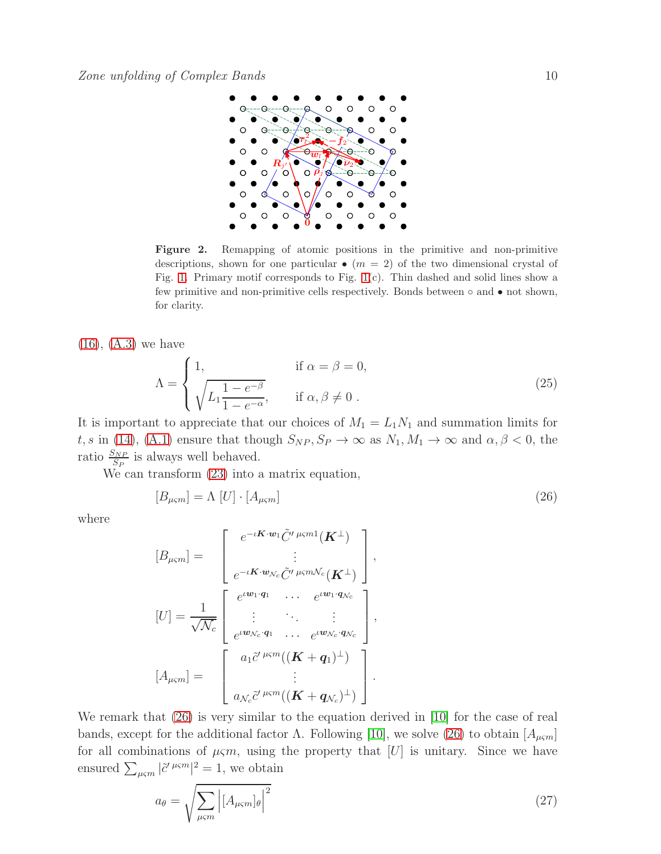

Figure 2. Remapping of atomic positions in the primitive and non-primitive descriptions, shown for one particular  $\bullet$  ( $m = 2$ ) of the two dimensional crystal of Fig. [1.](#page-2-0) Primary motif corresponds to Fig. [1\(](#page-2-0)c). Thin dashed and solid lines show a few primitive and non-primitive cells respectively. Bonds between  $\circ$  and  $\bullet$  not shown, for clarity.

[\(16\)](#page-6-2), [\(A.3\)](#page-13-21) we have

<span id="page-9-0"></span>
$$
\Lambda = \begin{cases} 1, & \text{if } \alpha = \beta = 0, \\ \sqrt{L_1 \frac{1 - e^{-\beta}}{1 - e^{-\alpha}}}, & \text{if } \alpha, \beta \neq 0 \end{cases} \tag{25}
$$

It is important to appreciate that our choices of  $M_1 = L_1 N_1$  and summation limits for t, s in [\(14\)](#page-6-0), [\(A.1\)](#page-12-0) ensure that though  $S_{NP}$ ,  $S_P \to \infty$  as  $N_1, M_1 \to \infty$  and  $\alpha, \beta < 0$ , the ratio  $\frac{S_{NP}}{S_P}$  is always well behaved.

We can transform [\(23\)](#page-8-3) into a matrix equation,

<span id="page-9-1"></span>
$$
[B_{\mu\varsigma m}] = \Lambda [U] \cdot [A_{\mu\varsigma m}] \tag{26}
$$

where

$$
[B_{\mu\varsigma m}] = \begin{bmatrix} e^{-\iota \mathbf{K} \cdot \mathbf{w}_1} \tilde{C}^{\prime \mu\varsigma m1}(\mathbf{K}^{\perp}) \\ \vdots \\ e^{-\iota \mathbf{K} \cdot \mathbf{w}_{\mathcal{N}_c}} \tilde{C}^{\prime \mu\varsigma m \mathcal{N}_c}(\mathbf{K}^{\perp}) \end{bmatrix},
$$
  
\n
$$
[U] = \frac{1}{\sqrt{\mathcal{N}_c}} \begin{bmatrix} e^{\iota \mathbf{w}_1 \cdot \mathbf{q}_1} & \cdots & e^{\iota \mathbf{w}_1 \cdot \mathbf{q}_{\mathcal{N}_c}} \\ \vdots & \ddots & \vdots \\ e^{\iota \mathbf{w}_{\mathcal{N}_c} \cdot \mathbf{q}_1} & \cdots & e^{\iota \mathbf{w}_{\mathcal{N}_c} \cdot \mathbf{q}_{\mathcal{N}_c}} \end{bmatrix},
$$
  
\n
$$
[A_{\mu\varsigma m}] = \begin{bmatrix} a_1 \tilde{c}^{\prime \mu\varsigma m}((\mathbf{K} + \mathbf{q}_1)^{\perp}) \\ \vdots \\ a_{\mathcal{N}_c} \tilde{c}^{\prime \mu\varsigma m}((\mathbf{K} + \mathbf{q}_{\mathcal{N}_c})^{\perp}) \end{bmatrix}.
$$

We remark that [\(26\)](#page-9-1) is very similar to the equation derived in [\[10\]](#page-13-9) for the case of real bands, except for the additional factor  $\Lambda$ . Following [\[10\]](#page-13-9), we solve [\(26\)](#page-9-1) to obtain  $[A_{\mu\varsigma m}]$ for all combinations of  $\mu \varsigma m$ , using the property that  $[U]$  is unitary. Since we have ensured  $\sum_{\mu \in \mathbb{N}} |\tilde{c}'^{\mu \in \mathbb{N}}|^2 = 1$ , we obtain

$$
a_{\theta} = \sqrt{\sum_{\mu \in m} \left| \left[ A_{\mu \in m} \right]_{\theta} \right|^2} \tag{27}
$$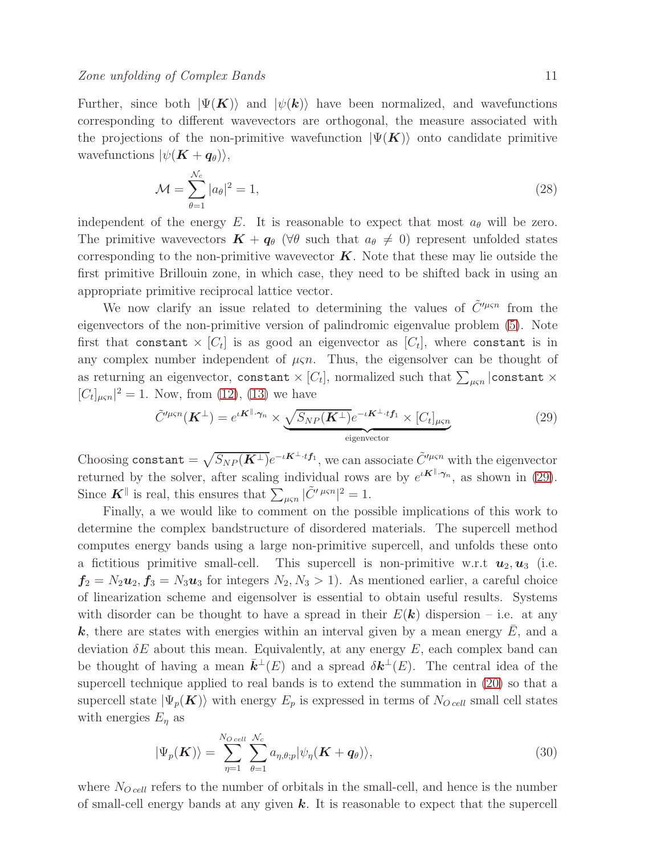Further, since both  $|\Psi(\mathbf{K})\rangle$  and  $|\psi(\mathbf{k})\rangle$  have been normalized, and wavefunctions corresponding to different wavevectors are orthogonal, the measure associated with the projections of the non-primitive wavefunction  $|\Psi(\mathbf{K})\rangle$  onto candidate primitive wavefunctions  $|\psi(\mathbf{K} + \boldsymbol{q}_{\theta})\rangle$ ,

$$
\mathcal{M} = \sum_{\theta=1}^{\mathcal{N}_c} |a_{\theta}|^2 = 1,\tag{28}
$$

independent of the energy E. It is reasonable to expect that most  $a_{\theta}$  will be zero. The primitive wavevectors  $\mathbf{K} + \mathbf{q}_{\theta}$  ( $\forall \theta$  such that  $a_{\theta} \neq 0$ ) represent unfolded states corresponding to the non-primitive wavevector  $\boldsymbol{K}$ . Note that these may lie outside the first primitive Brillouin zone, in which case, they need to be shifted back in using an appropriate primitive reciprocal lattice vector.

We now clarify an issue related to determining the values of  $\tilde{C}'^{\mu\varsigma n}$  from the eigenvectors of the non-primitive version of palindromic eigenvalue problem [\(5\)](#page-3-0). Note first that constant  $\times$   $[C_t]$  is as good an eigenvector as  $[C_t]$ , where constant is in any complex number independent of  $\mu \varsigma n$ . Thus, the eigensolver can be thought of as returning an eigenvector, constant  $\times$  [ $C_t$ ], normalized such that  $\sum_{\mu\varsigma n} |{\tt constant}\; \times$  $[C_t]_{\mu\varsigma n}|^2 = 1$ . Now, from [\(12\)](#page-5-4), [\(13\)](#page-5-3) we have

<span id="page-10-0"></span>
$$
\tilde{C}^{\prime\mu\varsigma n}(\mathbf{K}^{\perp}) = e^{\iota \mathbf{K}^{\parallel} \cdot \gamma_n} \times \underbrace{\sqrt{S_{NP}(\mathbf{K}^{\perp})}}_{\text{eigenvector}} e^{-\iota \mathbf{K}^{\perp} \cdot t} f_1} \times [C_t]_{\mu\varsigma n}
$$
\n(29)

Choosing constant  $=\sqrt{S_{NP}(\boldsymbol{K}^{\perp})}e^{-\iota \boldsymbol{K}^{\perp}\cdot t}$ , we can associate  $\tilde{C}'^{\mu\varsigma n}$  with the eigenvector returned by the solver, after scaling individual rows are by  $e^{i\mathbf{K}^{\parallel}\cdot\boldsymbol{\gamma}_n}$ , as shown in [\(29\)](#page-10-0). Since  $\mathbf{K}^{\parallel}$  is real, this ensures that  $\sum_{\mu \in \mathbb{N}} |\tilde{C}'^{\mu \in \mathbb{N}}|^2 = 1$ .

Finally, a we would like to comment on the possible implications of this work to determine the complex bandstructure of disordered materials. The supercell method computes energy bands using a large non-primitive supercell, and unfolds these onto a fictitious primitive small-cell. This supercell is non-primitive w.r.t  $u_2, u_3$  (i.e.  $f_2 = N_2u_2, f_3 = N_3u_3$  for integers  $N_2, N_3 > 1$ ). As mentioned earlier, a careful choice of linearization scheme and eigensolver is essential to obtain useful results. Systems with disorder can be thought to have a spread in their  $E(\mathbf{k})$  dispersion – i.e. at any  $k$ , there are states with energies within an interval given by a mean energy  $E$ , and a deviation  $\delta E$  about this mean. Equivalently, at any energy E, each complex band can be thought of having a mean  $\bar{\mathbf{k}}^{\perp}(E)$  and a spread  $\delta \mathbf{k}^{\perp}(E)$ . The central idea of the supercell technique applied to real bands is to extend the summation in [\(20\)](#page-8-2) so that a supercell state  $|\Psi_p(K)\rangle$  with energy  $E_p$  is expressed in terms of  $N_{O\,cell}$  small cell states with energies  $E_{\eta}$  as

$$
|\Psi_p(\boldsymbol{K})\rangle = \sum_{\eta=1}^{N_O} \sum_{\theta=1}^{U_C} a_{\eta,\theta;p} |\psi_\eta(\boldsymbol{K} + \boldsymbol{q}_{\theta})\rangle, \tag{30}
$$

where  $N_{O\,cell}$  refers to the number of orbitals in the small-cell, and hence is the number of small-cell energy bands at any given  $k$ . It is reasonable to expect that the supercell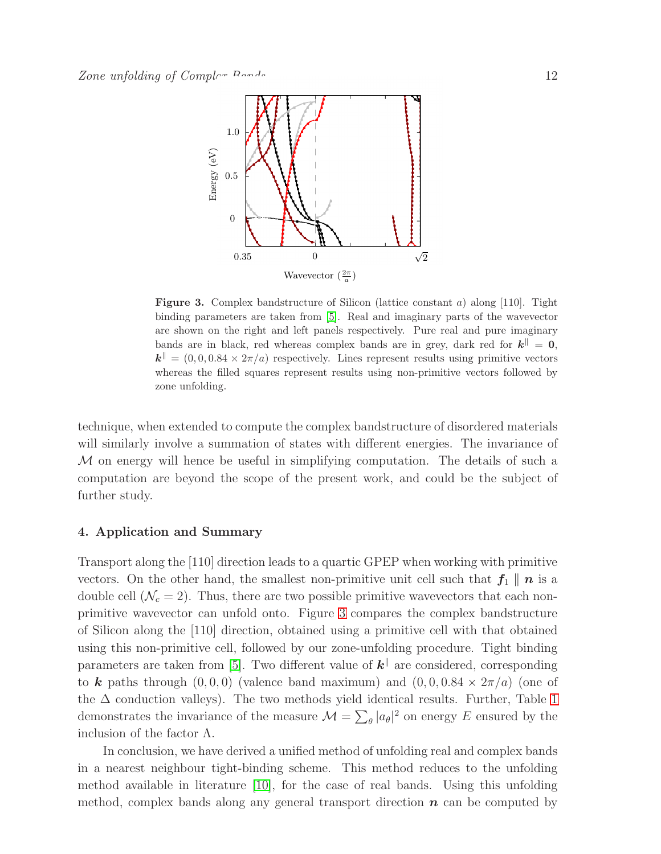

<span id="page-11-1"></span>**Figure 3.** Complex bandstructure of Silicon (lattice constant a) along [110]. Tight binding parameters are taken from [\[5\]](#page-13-4). Real and imaginary parts of the wavevector are shown on the right and left panels respectively. Pure real and pure imaginary bands are in black, red whereas complex bands are in grey, dark red for  $k^{\parallel} = 0$ ,  $\mathbf{k}^{\parallel} = (0, 0, 0.84 \times 2\pi/a)$  respectively. Lines represent results using primitive vectors whereas the filled squares represent results using non-primitive vectors followed by zone unfolding.

technique, when extended to compute the complex bandstructure of disordered materials will similarly involve a summation of states with different energies. The invariance of M on energy will hence be useful in simplifying computation. The details of such a computation are beyond the scope of the present work, and could be the subject of further study.

## <span id="page-11-0"></span>4. Application and Summary

Transport along the [110] direction leads to a quartic GPEP when working with primitive vectors. On the other hand, the smallest non-primitive unit cell such that  $f_1 \parallel n$  is a double cell  $(\mathcal{N}_c = 2)$ . Thus, there are two possible primitive wavevectors that each nonprimitive wavevector can unfold onto. Figure [3](#page-11-1) compares the complex bandstructure of Silicon along the [110] direction, obtained using a primitive cell with that obtained using this non-primitive cell, followed by our zone-unfolding procedure. Tight binding parameters are taken from [\[5\]](#page-13-4). Two different value of  $k^{\parallel}$  are considered, corresponding to k paths through  $(0, 0, 0)$  (valence band maximum) and  $(0, 0, 0.84 \times 2\pi/a)$  (one of the  $\Delta$  conduction valleys). The two methods yield identical results. Further, Table [1](#page-12-1) demonstrates the invariance of the measure  $\mathcal{M} = \sum_{\theta} |a_{\theta}|^2$  on energy E ensured by the inclusion of the factor  $\Lambda$ .

In conclusion, we have derived a unified method of unfolding real and complex bands in a nearest neighbour tight-binding scheme. This method reduces to the unfolding method available in literature [\[10\]](#page-13-9), for the case of real bands. Using this unfolding method, complex bands along any general transport direction  $\boldsymbol{n}$  can be computed by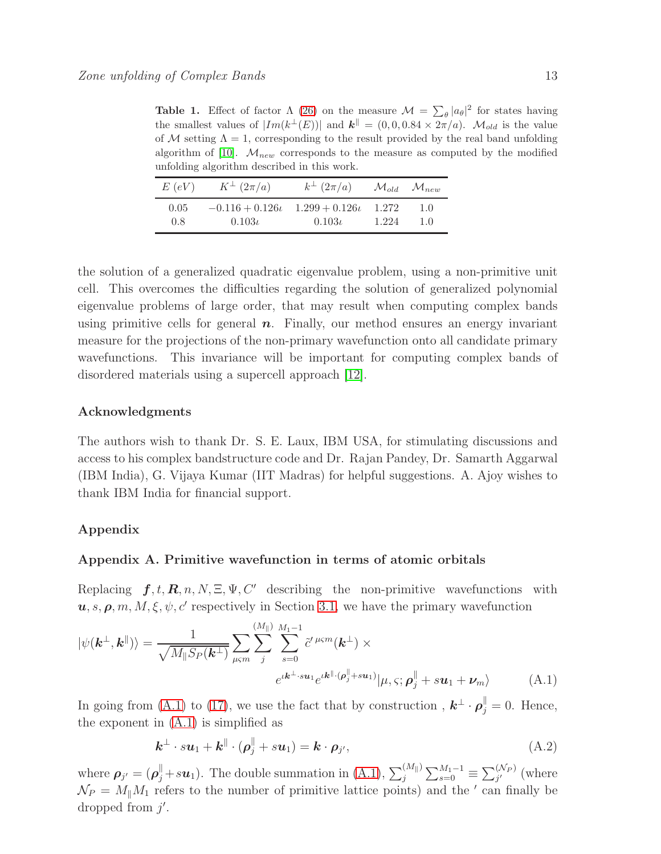<span id="page-12-1"></span>**Table 1.** Effect of factor  $\Lambda$  [\(26\)](#page-9-1) on the measure  $\mathcal{M} = \sum_{\theta} |a_{\theta}|^2$  for states having the smallest values of  $|Im(k^{\perp}(E))|$  and  $\mathbf{k}^{\parallel} = (0,0,0.84 \times 2\pi/a)$ .  $\mathcal{M}_{old}$  is the value of M setting  $\Lambda = 1$ , corresponding to the result provided by the real band unfolding algorithm of [\[10\]](#page-13-9).  $M_{new}$  corresponds to the measure as computed by the modified unfolding algorithm described in this work.

| E(eV) | $K^{\perp}(2\pi/a)$   | $k^{\perp}(2\pi/a)$  |       | $\mathcal{M}_{old}$ $\mathcal{M}_{new}$ |
|-------|-----------------------|----------------------|-------|-----------------------------------------|
| 0.05  | $-0.116 + 0.126\iota$ | $1.299 + 0.126\iota$ | 1.272 | 1.0                                     |
| 0.8   | $0.103\iota$          | $0.103\iota$         | 1.224 | 1.0                                     |

the solution of a generalized quadratic eigenvalue problem, using a non-primitive unit cell. This overcomes the difficulties regarding the solution of generalized polynomial eigenvalue problems of large order, that may result when computing complex bands using primitive cells for general  $n$ . Finally, our method ensures an energy invariant measure for the projections of the non-primary wavefunction onto all candidate primary wavefunctions. This invariance will be important for computing complex bands of disordered materials using a supercell approach [\[12\]](#page-13-11).

#### Acknowledgments

The authors wish to thank Dr. S. E. Laux, IBM USA, for stimulating discussions and access to his complex bandstructure code and Dr. Rajan Pandey, Dr. Samarth Aggarwal (IBM India), G. Vijaya Kumar (IIT Madras) for helpful suggestions. A. Ajoy wishes to thank IBM India for financial support.

# Appendix

## Appendix A. Primitive wavefunction in terms of atomic orbitals

Replacing  $f, t, \mathbf{R}, n, N, \Xi, \Psi, C'$  describing the non-primitive wavefunctions with  $u, s, \rho, m, M, \xi, \psi, c'$  respectively in Section [3.1,](#page-5-5) we have the primary wavefunction

<span id="page-12-0"></span>
$$
|\psi(\mathbf{k}^{\perp}, \mathbf{k}^{\parallel})\rangle = \frac{1}{\sqrt{M_{\parallel}S_P(\mathbf{k}^{\perp})}} \sum_{\mu \leq m} \sum_{j}^{(M_{\parallel})} \sum_{s=0}^{M_{1}-1} \tilde{c}'^{\mu \leq m}(\mathbf{k}^{\perp}) \times
$$

$$
e^{i\mathbf{k}^{\perp} \cdot s\mathbf{u}_{1}} e^{i\mathbf{k}^{\parallel} \cdot (\boldsymbol{\rho}_{j}^{\parallel} + s\mathbf{u}_{1})} |\mu, \varsigma; \boldsymbol{\rho}_{j}^{\parallel} + s\mathbf{u}_{1} + \boldsymbol{\nu}_{m} \rangle \tag{A.1}
$$

In going from [\(A.1\)](#page-12-0) to [\(17\)](#page-6-3), we use the fact that by construction,  $\mathbf{k}^{\perp} \cdot \boldsymbol{\rho}_{j}^{\parallel} = 0$ . Hence, the exponent in [\(A.1\)](#page-12-0) is simplified as

$$
\mathbf{k}^{\perp} \cdot s\mathbf{u}_1 + \mathbf{k}^{\parallel} \cdot (\boldsymbol{\rho}_j^{\parallel} + s\mathbf{u}_1) = \mathbf{k} \cdot \boldsymbol{\rho}_{j'}, \tag{A.2}
$$

where  $\rho_{j'} = (\rho_j^{\parallel} + s u_1)$ . The double summation in [\(A.1\)](#page-12-0),  $\sum_j^{(M_{\parallel})} \sum_{s=0}^{M_1-1} \equiv \sum_{j'}^{(N_P)}$  (where  $\mathcal{N}_P = M_{\parallel} M_1$  refers to the number of primitive lattice points) and the ' can finally be dropped from  $j'$ .